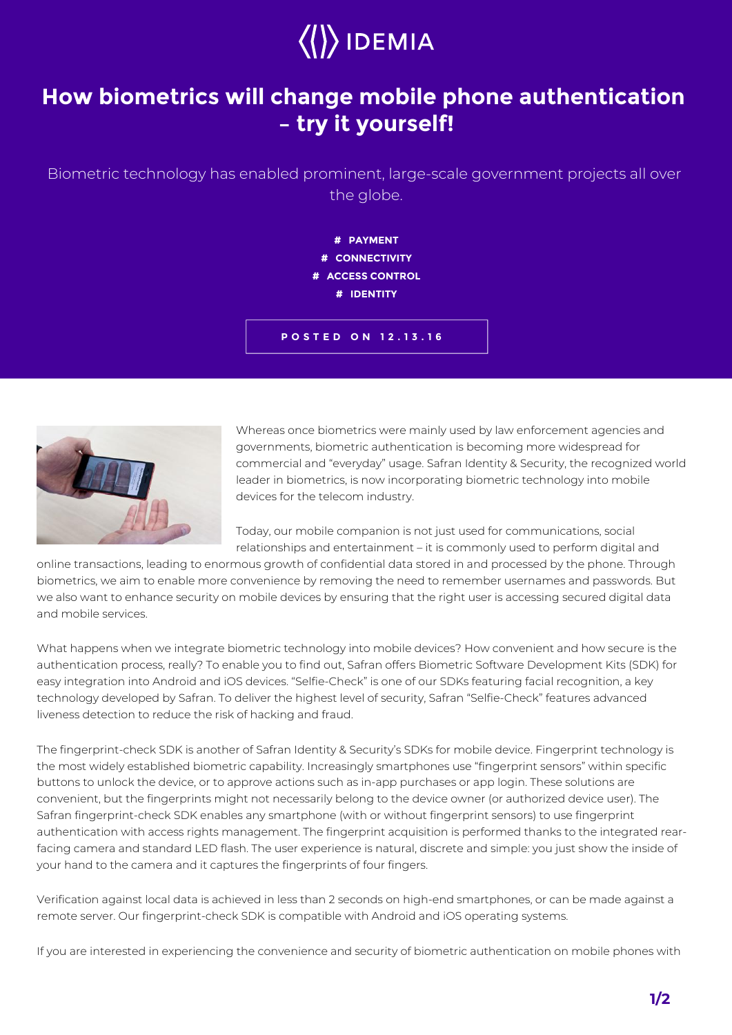## $\left\langle \right\rangle$  IDEMIA

## **How biometrics will change mobile phone authentication – try it yourself!**

Biometric technology has enabled prominent, large-scale government projects all over the globe.

> **# PAYMENT # CONNECTIVITY # ACCESS CONTROL # IDENTITY**

**POSTED ON 12.13.16**



Whereas once biometrics were mainly used by law enforcement agencies and governments, biometric authentication is becoming more widespread for commercial and "everyday" usage. Safran Identity & Security, the recognized world leader in biometrics, is now incorporating biometric technology into mobile devices for the telecom industry.

Today, our mobile companion is not just used for communications, social relationships and entertainment – it is commonly used to perform digital and

online transactions, leading to enormous growth of confidential data stored in and processed by the phone. Through biometrics, we aim to enable more convenience by removing the need to remember usernames and passwords. But we also want to enhance security on mobile devices by ensuring that the right user is accessing secured digital data and mobile services.

What happens when we integrate biometric technology into mobile devices? How convenient and how secure is the authentication process, really? To enable you to find out, Safran offers Biometric Software Development Kits (SDK) for easy integration into Android and iOS devices. "Selfie-Check" is one of our SDKs featuring facial recognition, a key technology developed by Safran. To deliver the highest level of security, Safran "Selfie-Check" features advanced liveness detection to reduce the risk of hacking and fraud.

The fingerprint-check SDK is another of Safran Identity & Security's SDKs for mobile device. Fingerprint technology is the most widely established biometric capability. Increasingly smartphones use "fingerprint sensors" within specific buttons to unlock the device, or to approve actions such as in-app purchases or app login. These solutions are convenient, but the fingerprints might not necessarily belong to the device owner (or authorized device user). The Safran fingerprint-check SDK enables any smartphone (with or without fingerprint sensors) to use fingerprint authentication with access rights management. The fingerprint acquisition is performed thanks to the integrated rearfacing camera and standard LED flash. The user experience is natural, discrete and simple: you just show the inside of your hand to the camera and it captures the fingerprints of four fingers.

Verification against local data is achieved in less than 2 seconds on high-end smartphones, or can be made against a remote server. Our fingerprint-check SDK is compatible with Android and iOS operating systems.

If you are interested in experiencing the convenience and security of biometric authentication on mobile phones with